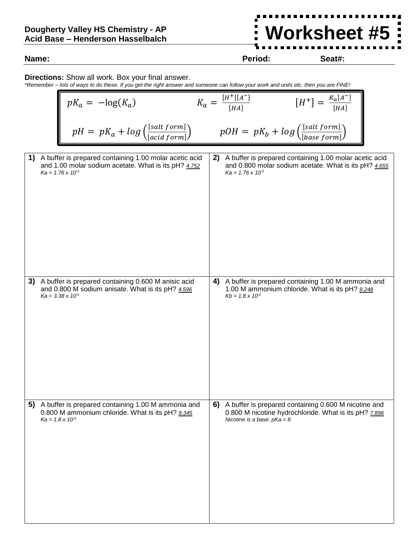## **Dougherty Valley HS Chemistry - AP Acid Base – Henderson Hasselbalch**

**Name: Period: Seat#:**

## **Directions:** Show all work. Box your final answer.

*\*Remember – lots of ways to do these. If you get the right answer and someone can follow your work and units etc. then you are FINE!*

|     |                           | $pK_a = -\log(K_a)$                                                                                                                          |                                                               |    | $K_a = \frac{[H^+][A^-]}{[HA]}$                                                                                                                | $[H^+] = \frac{K_a[A^-]}{[HA]}$ |  |
|-----|---------------------------|----------------------------------------------------------------------------------------------------------------------------------------------|---------------------------------------------------------------|----|------------------------------------------------------------------------------------------------------------------------------------------------|---------------------------------|--|
|     |                           |                                                                                                                                              | $pH = pK_a + log\left(\frac{[salt form]}{[acid form]}\right)$ |    | $pOH = pK_b + log\left(\frac{[salt form]}{[base form]}\right)$                                                                                 |                                 |  |
| า เ |                           | A buffer is prepared containing 1.00 molar acetic acid<br>and 1.00 molar sodium acetate. What is its pH? 4.752<br>$Ka = 1.76 \times 10^{-5}$ |                                                               | 2) | A buffer is prepared containing 1.00 molar acetic acid<br>and 0.800 molar sodium acetate. What is its pH? 4.655<br>$Ka = 1.76 \times 10^{-5}$  |                                 |  |
| 3)  |                           | A buffer is prepared containing 0.600 M anisic acid<br>and 0.800 M sodium anisate. What is its pH? 4.596<br>$Ka = 3.38 \times 10^{-5}$       |                                                               | 4) | A buffer is prepared containing 1.00 M ammonia and<br>1.00 M ammonium chloride. What is its pH? 9.248<br>$Kb = 1.8 \times 10^{5}$              |                                 |  |
| 5)  | $Ka = 1.8 \times 10^{-5}$ | A buffer is prepared containing 1.00 M ammonia and<br>0.800 M ammonium chloride. What is its pH? 9.345                                       |                                                               | 6) | A buffer is prepared containing 0.600 M nicotine and<br>0.800 M nicotine hydrochloride. What is its pH? 7.896<br>Nicotine is a base. $pKa = 8$ |                                 |  |